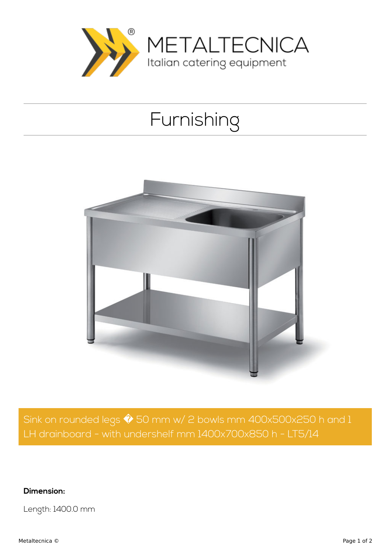

## Furnishing



Sink on rounded legs  $\hat{\blacklozenge}$  50 mm w/ 2 bowls mm 400x500x250 h and 1 LH drainboard - with undershelf mm 1400x700x850 h - LT5/14

**Dimension:**

Length: 1400.0 mm